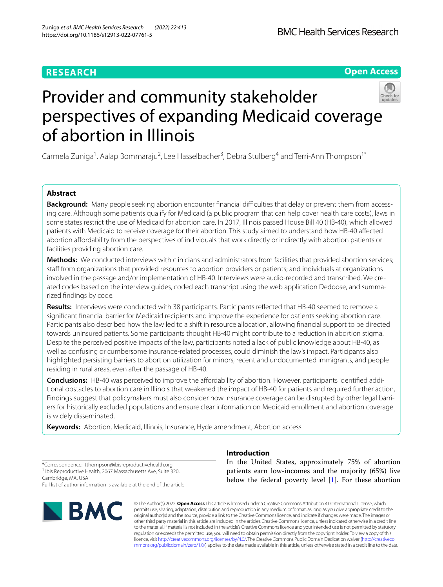# **RESEARCH**

# **Open Access**



# Provider and community stakeholder perspectives of expanding Medicaid coverage of abortion in Illinois

Carmela Zuniga<sup>1</sup>, Aalap Bommaraju<sup>2</sup>, Lee Hasselbacher<sup>3</sup>, Debra Stulberg<sup>4</sup> and Terri-Ann Thompson<sup>1\*</sup>

## **Abstract**

**Background:** Many people seeking abortion encounter financial difficulties that delay or prevent them from accessing care. Although some patients qualify for Medicaid (a public program that can help cover health care costs), laws in some states restrict the use of Medicaid for abortion care. In 2017, Illinois passed House Bill 40 (HB-40), which allowed patients with Medicaid to receive coverage for their abortion. This study aimed to understand how HB-40 afected abortion afordability from the perspectives of individuals that work directly or indirectly with abortion patients or facilities providing abortion care.

**Methods:** We conducted interviews with clinicians and administrators from facilities that provided abortion services; staff from organizations that provided resources to abortion providers or patients; and individuals at organizations involved in the passage and/or implementation of HB-40. Interviews were audio-recorded and transcribed. We created codes based on the interview guides, coded each transcript using the web application Dedoose, and summarized fndings by code.

**Results:** Interviews were conducted with 38 participants. Participants refected that HB-40 seemed to remove a signifcant fnancial barrier for Medicaid recipients and improve the experience for patients seeking abortion care. Participants also described how the law led to a shift in resource allocation, allowing fnancial support to be directed towards uninsured patients. Some participants thought HB-40 might contribute to a reduction in abortion stigma. Despite the perceived positive impacts of the law, participants noted a lack of public knowledge about HB-40, as well as confusing or cumbersome insurance-related processes, could diminish the law's impact. Participants also highlighted persisting barriers to abortion utilization for minors, recent and undocumented immigrants, and people residing in rural areas, even after the passage of HB-40.

**Conclusions:** HB-40 was perceived to improve the affordability of abortion. However, participants identified additional obstacles to abortion care in Illinois that weakened the impact of HB-40 for patients and required further action, Findings suggest that policymakers must also consider how insurance coverage can be disrupted by other legal barriers for historically excluded populations and ensure clear information on Medicaid enrollment and abortion coverage is widely disseminated.

**Keywords:** Abortion, Medicaid, Illinois, Insurance, Hyde amendment, Abortion access

\*Correspondence: tthompson@ibisreproductivehealth.org <sup>1</sup> Ibis Reproductive Health, 2067 Massachusetts Ave, Suite 320, Cambridge, MA, USA Full list of author information is available at the end of the article



## **Introduction**

In the United States, approximately 75% of abortion patients earn low-incomes and the majority (65%) live below the federal poverty level [[1\]](#page-14-0). For these abortion

© The Author(s) 2022. **Open Access** This article is licensed under a Creative Commons Attribution 4.0 International License, which permits use, sharing, adaptation, distribution and reproduction in any medium or format, as long as you give appropriate credit to the original author(s) and the source, provide a link to the Creative Commons licence, and indicate if changes were made. The images or other third party material in this article are included in the article's Creative Commons licence, unless indicated otherwise in a credit line to the material. If material is not included in the article's Creative Commons licence and your intended use is not permitted by statutory regulation or exceeds the permitted use, you will need to obtain permission directly from the copyright holder. To view a copy of this licence, visit [http://creativecommons.org/licenses/by/4.0/.](http://creativecommons.org/licenses/by/4.0/) The Creative Commons Public Domain Dedication waiver ([http://creativeco](http://creativecommons.org/publicdomain/zero/1.0/) [mmons.org/publicdomain/zero/1.0/](http://creativecommons.org/publicdomain/zero/1.0/)) applies to the data made available in this article, unless otherwise stated in a credit line to the data.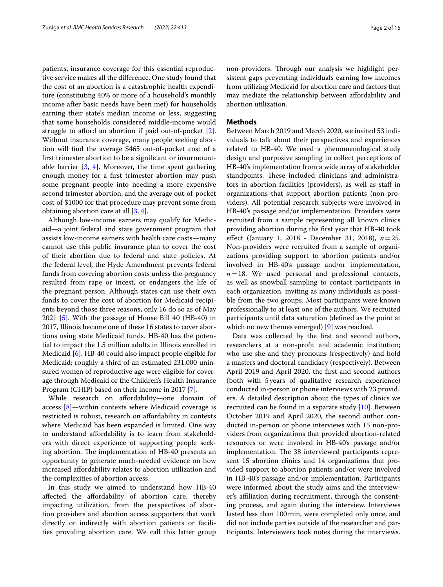patients, insurance coverage for this essential reproductive service makes all the diference. One study found that the cost of an abortion is a catastrophic health expenditure (constituting 40% or more of a household's monthly income after basic needs have been met) for households earning their state's median income or less, suggesting that some households considered middle-income would struggle to afford an abortion if paid out-of-pocket [\[2](#page-14-1)]. Without insurance coverage, many people seeking abortion will fnd the average \$465 out-of-pocket cost of a frst trimester abortion to be a signifcant or insurmountable barrier [\[3,](#page-14-2) [4](#page-14-3)]. Moreover, the time spent gathering enough money for a frst trimester abortion may push some pregnant people into needing a more expensive second trimester abortion, and the average out-of-pocket cost of \$1000 for that procedure may prevent some from obtaining abortion care at all [[3,](#page-14-2) [4](#page-14-3)].

Although low-income earners may qualify for Medicaid—a joint federal and state government program that assists low-income earners with health care costs—many cannot use this public insurance plan to cover the cost of their abortion due to federal and state policies. At the federal level, the Hyde Amendment prevents federal funds from covering abortion costs unless the pregnancy resulted from rape or incest, or endangers the life of the pregnant person. Although states can use their own funds to cover the cost of abortion for Medicaid recipients beyond those three reasons, only 16 do so as of May 2021 [\[5](#page-14-4)]. With the passage of House Bill 40 (HB-40) in 2017, Illinois became one of these 16 states to cover abortions using state Medicaid funds. HB-40 has the potential to impact the 1.5 million adults in Illinois enrolled in Medicaid [[6\]](#page-14-5). HB-40 could also impact people eligible for Medicaid; roughly a third of an estimated 231,000 uninsured women of reproductive age were eligible for coverage through Medicaid or the Children's Health Insurance Program (CHIP) based on their income in 2017 [\[7](#page-14-6)].

While research on afordability—one domain of access [[8\]](#page-14-7)—within contexts where Medicaid coverage is restricted is robust, research on afordability in contexts where Medicaid has been expanded is limited. One way to understand afordability is to learn from stakeholders with direct experience of supporting people seeking abortion. The implementation of HB-40 presents an opportunity to generate much-needed evidence on how increased afordability relates to abortion utilization and the complexities of abortion access.

In this study we aimed to understand how HB-40 afected the afordability of abortion care, thereby impacting utilization, from the perspectives of abortion providers and abortion access supporters that work directly or indirectly with abortion patients or facilities providing abortion care. We call this latter group may mediate the relationship between afordability and

#### **Methods**

abortion utilization.

Between March 2019 and March 2020, we invited 53 individuals to talk about their perspectives and experiences related to HB-40. We used a phenomenological study design and purposive sampling to collect perceptions of HB-40's implementation from a wide array of stakeholder standpoints. These included clinicians and administrators in abortion facilities (providers), as well as staf in organizations that support abortion patients (non-providers). All potential research subjects were involved in HB-40's passage and/or implementation. Providers were recruited from a sample representing all known clinics providing abortion during the frst year that HB-40 took efect (January 1, 2018 - December 31, 2018), *n*=25. Non-providers were recruited from a sample of organizations providing support to abortion patients and/or involved in HB-40's passage and/or implementation,  $n=18$ . We used personal and professional contacts, as well as snowball sampling to contact participants in each organization, inviting as many individuals as possible from the two groups. Most participants were known professionally to at least one of the authors. We recruited participants until data saturation (defned as the point at which no new themes emerged) [[9\]](#page-14-8) was reached.

Data was collected by the frst and second authors, researchers at a non-proft and academic institution; who use she and they pronouns (respectively) and hold a masters and doctoral candidacy (respectively). Between April 2019 and April 2020, the frst and second authors (both with 5years of qualitative research experience) conducted in-person or phone interviews with 23 providers. A detailed description about the types of clinics we recruited can be found in a separate study [\[10](#page-14-9)]. Between October 2019 and April 2020, the second author conducted in-person or phone interviews with 15 non-providers from organizations that provided abortion-related resources or were involved in HB-40's passage and/or implementation. The 38 interviewed participants represent 15 abortion clinics and 14 organizations that provided support to abortion patients and/or were involved in HB-40's passage and/or implementation. Participants were informed about the study aims and the interviewer's afliation during recruitment, through the consenting process, and again during the interview. Interviews lasted less than 100min, were completed only once, and did not include parties outside of the researcher and participants. Interviewers took notes during the interviews.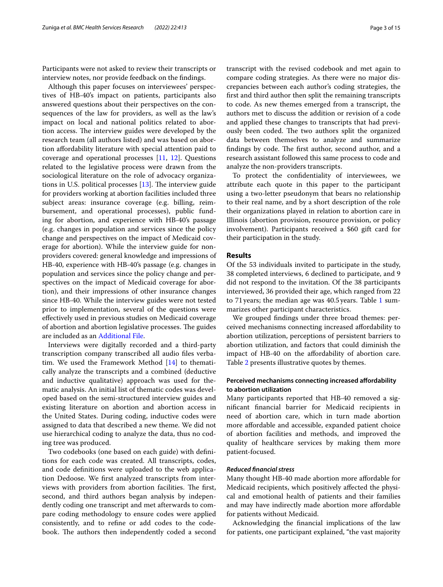Participants were not asked to review their transcripts or interview notes, nor provide feedback on the fndings.

Although this paper focuses on interviewees' perspectives of HB-40's impact on patients, participants also answered questions about their perspectives on the consequences of the law for providers, as well as the law's impact on local and national politics related to abortion access. The interview guides were developed by the research team (all authors listed) and was based on abortion afordability literature with special attention paid to coverage and operational processes [\[11](#page-14-10), [12](#page-14-11)]. Questions related to the legislative process were drawn from the sociological literature on the role of advocacy organizations in U.S. political processes  $[13]$  $[13]$  $[13]$ . The interview guide for providers working at abortion facilities included three subject areas: insurance coverage (e.g. billing, reimbursement, and operational processes), public funding for abortion, and experience with HB-40's passage (e.g. changes in population and services since the policy change and perspectives on the impact of Medicaid coverage for abortion). While the interview guide for nonproviders covered: general knowledge and impressions of HB-40, experience with HB-40's passage (e.g. changes in population and services since the policy change and perspectives on the impact of Medicaid coverage for abortion), and their impressions of other insurance changes since HB-40. While the interview guides were not tested prior to implementation, several of the questions were efectively used in previous studies on Medicaid coverage of abortion and abortion legislative processes. The guides are included as an [Additional File.](#page-13-0)

Interviews were digitally recorded and a third-party transcription company transcribed all audio fles verbatim. We used the Framework Method [[14\]](#page-14-13) to thematically analyze the transcripts and a combined (deductive and inductive qualitative) approach was used for thematic analysis. An initial list of thematic codes was developed based on the semi-structured interview guides and existing literature on abortion and abortion access in the United States. During coding, inductive codes were assigned to data that described a new theme. We did not use hierarchical coding to analyze the data, thus no coding tree was produced.

Two codebooks (one based on each guide) with defnitions for each code was created. All transcripts, codes, and code defnitions were uploaded to the web application Dedoose. We frst analyzed transcripts from interviews with providers from abortion facilities. The first, second, and third authors began analysis by independently coding one transcript and met afterwards to compare coding methodology to ensure codes were applied consistently, and to refne or add codes to the codebook. The authors then independently coded a second transcript with the revised codebook and met again to compare coding strategies. As there were no major discrepancies between each author's coding strategies, the frst and third author then split the remaining transcripts to code. As new themes emerged from a transcript, the authors met to discuss the addition or revision of a code and applied these changes to transcripts that had previously been coded. The two authors split the organized data between themselves to analyze and summarize findings by code. The first author, second author, and a research assistant followed this same process to code and analyze the non-providers transcripts.

To protect the confdentiality of interviewees, we attribute each quote in this paper to the participant using a two-letter pseudonym that bears no relationship to their real name, and by a short description of the role their organizations played in relation to abortion care in Illinois (abortion provision, resource provision, or policy involvement). Participants received a \$60 gift card for their participation in the study.

#### **Results**

Of the 53 individuals invited to participate in the study, 38 completed interviews, 6 declined to participate, and 9 did not respond to the invitation. Of the 38 participants interviewed, 36 provided their age, which ranged from 22 to 71years; the median age was 40.5 years. Table [1](#page-3-0) summarizes other participant characteristics.

We grouped fndings under three broad themes: perceived mechanisms connecting increased afordability to abortion utilization, perceptions of persistent barriers to abortion utilization, and factors that could diminish the impact of HB-40 on the afordability of abortion care. Table [2](#page-4-0) presents illustrative quotes by themes.

#### **Perceived mechanisms connecting increased afordability to abortion utilization**

Many participants reported that HB-40 removed a signifcant fnancial barrier for Medicaid recipients in need of abortion care, which in turn made abortion more afordable and accessible, expanded patient choice of abortion facilities and methods, and improved the quality of healthcare services by making them more patient-focused.

#### *Reduced fnancial stress*

Many thought HB-40 made abortion more afordable for Medicaid recipients, which positively afected the physical and emotional health of patients and their families and may have indirectly made abortion more affordable for patients without Medicaid.

Acknowledging the fnancial implications of the law for patients, one participant explained, "the vast majority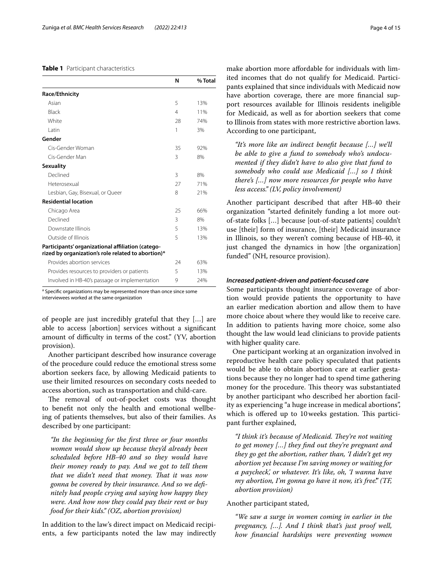#### <span id="page-3-0"></span>**Table 1** Participant characteristics

|                                                                                                         | N  | % Total |
|---------------------------------------------------------------------------------------------------------|----|---------|
| <b>Race/Ethnicity</b>                                                                                   |    |         |
| Asian                                                                                                   | 5  | 13%     |
| <b>Black</b>                                                                                            | 4  | 11%     |
| White                                                                                                   | 28 | 74%     |
| l atin                                                                                                  | 1  | 3%      |
| Gender                                                                                                  |    |         |
| Cis-Gender Woman                                                                                        | 35 | 92%     |
| Cis-Gender Man                                                                                          | 3  | 8%      |
| <b>Sexuality</b>                                                                                        |    |         |
| Declined                                                                                                | 3  | 8%      |
| Heterosexual                                                                                            | 27 | 71%     |
| Lesbian, Gay, Bisexual, or Queer                                                                        | 8  | 21%     |
| <b>Residential location</b>                                                                             |    |         |
| Chicago Area                                                                                            | 25 | 66%     |
| Declined                                                                                                | 3  | 8%      |
| Downstate Illinois                                                                                      | 5  | 13%     |
| Outside of Illinois                                                                                     | 5  | 13%     |
| Participants' organizational affiliation (catego-<br>rized by organization's role related to abortion)* |    |         |
| Provides abortion services                                                                              | 24 | 63%     |
| Provides resources to providers or patients                                                             | 5  | 13%     |
| Involved in HB-40's passage or implementation                                                           | 9  | 24%     |

<sup>a</sup> Specific organizations may be represented more than once since some

interviewees worked at the same organization

of people are just incredibly grateful that they […] are able to access [abortion] services without a signifcant amount of difficulty in terms of the cost." (YV, abortion provision).

Another participant described how insurance coverage of the procedure could reduce the emotional stress some abortion seekers face, by allowing Medicaid patients to use their limited resources on secondary costs needed to access abortion, such as transportation and child-care.

The removal of out-of-pocket costs was thought to beneft not only the health and emotional wellbeing of patients themselves, but also of their families. As described by one participant:

*"In the beginning for the frst three or four months women would show up because they'd already been scheduled before HB-40 and so they would have their money ready to pay. And we got to tell them that we didn't need that money. That it was now gonna be covered by their insurance. And so we defnitely had people crying and saying how happy they were. And how now they could pay their rent or buy food for their kids." (OZ, abortion provision)*

In addition to the law's direct impact on Medicaid recipients, a few participants noted the law may indirectly make abortion more afordable for individuals with limited incomes that do not qualify for Medicaid. Participants explained that since individuals with Medicaid now have abortion coverage, there are more fnancial support resources available for Illinois residents ineligible for Medicaid, as well as for abortion seekers that come to Illinois from states with more restrictive abortion laws. According to one participant,

*"It's more like an indirect beneft because […] we'll be able to give a fund to somebody who's undocumented if they didn't have to also give that fund to somebody who could use Medicaid […] so I think there's […] now more resources for people who have less access." (LV, policy involvement)*

Another participant described that after HB-40 their organization "started defnitely funding a lot more outof-state folks […] because [out-of-state patients] couldn't use [their] form of insurance, [their] Medicaid insurance in Illinois, so they weren't coming because of HB-40, it just changed the dynamics in how [the organization] funded" (NH, resource provision).

#### *Increased patient-driven and patient-focused care*

Some participants thought insurance coverage of abortion would provide patients the opportunity to have an earlier medication abortion and allow them to have more choice about where they would like to receive care. In addition to patients having more choice, some also thought the law would lead clinicians to provide patients with higher quality care.

One participant working at an organization involved in reproductive health care policy speculated that patients would be able to obtain abortion care at earlier gestations because they no longer had to spend time gathering money for the procedure. This theory was substantiated by another participant who described her abortion facility as experiencing "a huge increase in medical abortions", which is offered up to 10 weeks gestation. This participant further explained,

"I think it's because of Medicaid. They're not waiting *to get money […] they fnd out they're pregnant and they go get the abortion, rather than, 'I didn't get my abortion yet because I'm saving money or waiting for a paycheck', or whatever. It's like, oh, 'I wanna have my abortion, I'm gonna go have it now, it's free'." (TF, abortion provision)*

#### Another participant stated,

*"We saw a surge in women coming in earlier in the pregnancy, […]. And I think that's just proof well, how fnancial hardships were preventing women*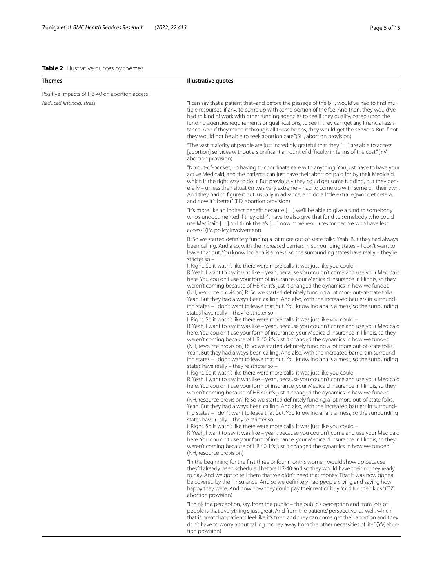#### <span id="page-4-0"></span>**Table 2** Illustrative quotes by themes

| Themes                                       | Illustrative quotes                                                                                                                                                                                                                                                                                                                                                                                                                                                                                                                                                                                                                                                                                                                                                                                                                                                                                                                                                                                                                                                                                                                                                                                                                                                                                                                                                                                                                                                                                                                                                                                                                                                                                                                                                                                                                                                                                                                                                                                                                                                                                                                                                                                                                                                                                                                                                                                                                                                                                                                                                                                                                                                                                                                                                                                                                                                 |
|----------------------------------------------|---------------------------------------------------------------------------------------------------------------------------------------------------------------------------------------------------------------------------------------------------------------------------------------------------------------------------------------------------------------------------------------------------------------------------------------------------------------------------------------------------------------------------------------------------------------------------------------------------------------------------------------------------------------------------------------------------------------------------------------------------------------------------------------------------------------------------------------------------------------------------------------------------------------------------------------------------------------------------------------------------------------------------------------------------------------------------------------------------------------------------------------------------------------------------------------------------------------------------------------------------------------------------------------------------------------------------------------------------------------------------------------------------------------------------------------------------------------------------------------------------------------------------------------------------------------------------------------------------------------------------------------------------------------------------------------------------------------------------------------------------------------------------------------------------------------------------------------------------------------------------------------------------------------------------------------------------------------------------------------------------------------------------------------------------------------------------------------------------------------------------------------------------------------------------------------------------------------------------------------------------------------------------------------------------------------------------------------------------------------------------------------------------------------------------------------------------------------------------------------------------------------------------------------------------------------------------------------------------------------------------------------------------------------------------------------------------------------------------------------------------------------------------------------------------------------------------------------------------------------------|
| Positive impacts of HB-40 on abortion access |                                                                                                                                                                                                                                                                                                                                                                                                                                                                                                                                                                                                                                                                                                                                                                                                                                                                                                                                                                                                                                                                                                                                                                                                                                                                                                                                                                                                                                                                                                                                                                                                                                                                                                                                                                                                                                                                                                                                                                                                                                                                                                                                                                                                                                                                                                                                                                                                                                                                                                                                                                                                                                                                                                                                                                                                                                                                     |
| Reduced financial stress                     | "I can say that a patient that-and before the passage of the bill, would've had to find mul-<br>tiple resources, if any, to come up with some portion of the fee. And then, they would've<br>had to kind of work with other funding agencies to see if they qualify, based upon the<br>funding agencies requirements or qualifications, to see if they can get any financial assis-<br>tance. And if they made it through all those hoops, they would get the services. But if not,<br>they would not be able to seek abortion care." (SH, abortion provision)                                                                                                                                                                                                                                                                                                                                                                                                                                                                                                                                                                                                                                                                                                                                                                                                                                                                                                                                                                                                                                                                                                                                                                                                                                                                                                                                                                                                                                                                                                                                                                                                                                                                                                                                                                                                                                                                                                                                                                                                                                                                                                                                                                                                                                                                                                      |
|                                              | "The vast majority of people are just incredibly grateful that they [] are able to access<br>[abortion] services without a significant amount of difficulty in terms of the cost." (YV,<br>abortion provision)                                                                                                                                                                                                                                                                                                                                                                                                                                                                                                                                                                                                                                                                                                                                                                                                                                                                                                                                                                                                                                                                                                                                                                                                                                                                                                                                                                                                                                                                                                                                                                                                                                                                                                                                                                                                                                                                                                                                                                                                                                                                                                                                                                                                                                                                                                                                                                                                                                                                                                                                                                                                                                                      |
|                                              | "No out-of-pocket, no having to coordinate care with anything. You just have to have your<br>active Medicaid, and the patients can just have their abortion paid for by their Medicaid,<br>which is the right way to do it. But previously they could get some funding, but they gen-<br>erally - unless their situation was very extreme - had to come up with some on their own.<br>And they had to figure it out, usually in advance, and do a little extra legwork, et cetera,<br>and now it's better" (ED, abortion provision)                                                                                                                                                                                                                                                                                                                                                                                                                                                                                                                                                                                                                                                                                                                                                                                                                                                                                                                                                                                                                                                                                                                                                                                                                                                                                                                                                                                                                                                                                                                                                                                                                                                                                                                                                                                                                                                                                                                                                                                                                                                                                                                                                                                                                                                                                                                                 |
|                                              | "It's more like an indirect benefit because [] we'll be able to give a fund to somebody<br>who's undocumented if they didn't have to also give that fund to somebody who could<br>use Medicaid [] so I think there's [] now more resources for people who have less<br>access." (LV, policy involvement)                                                                                                                                                                                                                                                                                                                                                                                                                                                                                                                                                                                                                                                                                                                                                                                                                                                                                                                                                                                                                                                                                                                                                                                                                                                                                                                                                                                                                                                                                                                                                                                                                                                                                                                                                                                                                                                                                                                                                                                                                                                                                                                                                                                                                                                                                                                                                                                                                                                                                                                                                            |
|                                              | R: So we started definitely funding a lot more out-of-state folks. Yeah. But they had always<br>been calling. And also, with the increased barriers in surrounding states - I don't want to<br>leave that out. You know Indiana is a mess, so the surrounding states have really - they're<br>stricter so $-$<br>I: Right. So it wasn't like there were more calls, it was just like you could -<br>R: Yeah, I want to say it was like - yeah, because you couldn't come and use your Medicaid<br>here. You couldn't use your form of insurance, your Medicaid insurance in Illinois, so they<br>weren't coming because of HB 40, it's just it changed the dynamics in how we funded<br>(NH, resource provision) R: So we started definitely funding a lot more out-of-state folks.<br>Yeah. But they had always been calling. And also, with the increased barriers in surround-<br>ing states - I don't want to leave that out. You know Indiana is a mess, so the surrounding<br>states have really - they're stricter so -<br>I: Right. So it wasn't like there were more calls, it was just like you could -<br>R: Yeah, I want to say it was like - yeah, because you couldn't come and use your Medicaid<br>here. You couldn't use your form of insurance, your Medicaid insurance in Illinois, so they<br>weren't coming because of HB 40, it's just it changed the dynamics in how we funded<br>(NH, resource provision) R: So we started definitely funding a lot more out-of-state folks.<br>Yeah. But they had always been calling. And also, with the increased barriers in surround-<br>ing states - I don't want to leave that out. You know Indiana is a mess, so the surrounding<br>states have really - they're stricter so -<br>I: Right. So it wasn't like there were more calls, it was just like you could -<br>R: Yeah, I want to say it was like - yeah, because you couldn't come and use your Medicaid<br>here. You couldn't use your form of insurance, your Medicaid insurance in Illinois, so they<br>weren't coming because of HB 40, it's just it changed the dynamics in how we funded<br>(NH, resource provision) R: So we started definitely funding a lot more out-of-state folks.<br>Yeah. But they had always been calling. And also, with the increased barriers in surround-<br>ing states - I don't want to leave that out. You know Indiana is a mess, so the surrounding<br>states have really - they're stricter so -<br>I: Right. So it wasn't like there were more calls, it was just like you could -<br>R: Yeah, I want to say it was like - yeah, because you couldn't come and use your Medicaid<br>here. You couldn't use your form of insurance, your Medicaid insurance in Illinois, so they<br>weren't coming because of HB 40, it's just it changed the dynamics in how we funded<br>(NH, resource provision) |
|                                              | "In the beginning for the first three or four months women would show up because<br>they'd already been scheduled before HB-40 and so they would have their money ready<br>to pay. And we got to tell them that we didn't need that money. That it was now gonna<br>be covered by their insurance. And so we definitely had people crying and saying how<br>happy they were. And how now they could pay their rent or buy food for their kids." (OZ,<br>abortion provision)                                                                                                                                                                                                                                                                                                                                                                                                                                                                                                                                                                                                                                                                                                                                                                                                                                                                                                                                                                                                                                                                                                                                                                                                                                                                                                                                                                                                                                                                                                                                                                                                                                                                                                                                                                                                                                                                                                                                                                                                                                                                                                                                                                                                                                                                                                                                                                                         |
|                                              | "I think the perception, say, from the public - the public's perception and from lots of<br>people is that everything's just great. And from the patients' perspective, as well, which<br>that is great that patients feel like it's fixed and they can come get their abortion and they<br>don't have to worry about taking money away from the other necessities of life." (YV, abor-<br>tion provision)                                                                                                                                                                                                                                                                                                                                                                                                                                                                                                                                                                                                                                                                                                                                                                                                                                                                                                                                                                                                                                                                                                                                                                                                                                                                                                                                                                                                                                                                                                                                                                                                                                                                                                                                                                                                                                                                                                                                                                                                                                                                                                                                                                                                                                                                                                                                                                                                                                                          |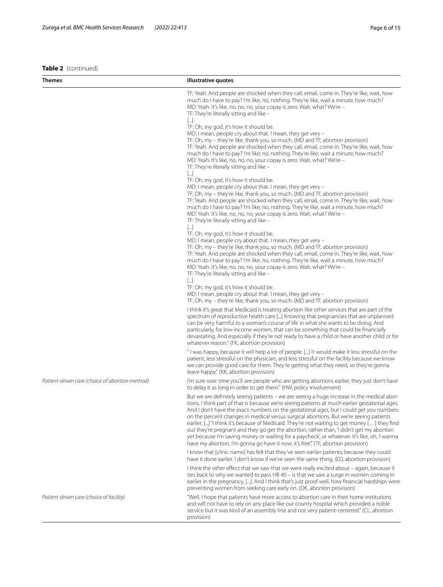**Table 2** (continued)

| Themes                                          | Illustrative quotes                                                                                                                                                                                                                                                                                                                                                                                                                                                                                                                                                                                                                                                                                                                                                                                                                                                                                                                                                                                                                                                                                                                                                                                                                                                                                                                                                                                                                                                                                                                                                                                                                                                                                                                                                                                                                                                                                                                                                |
|-------------------------------------------------|--------------------------------------------------------------------------------------------------------------------------------------------------------------------------------------------------------------------------------------------------------------------------------------------------------------------------------------------------------------------------------------------------------------------------------------------------------------------------------------------------------------------------------------------------------------------------------------------------------------------------------------------------------------------------------------------------------------------------------------------------------------------------------------------------------------------------------------------------------------------------------------------------------------------------------------------------------------------------------------------------------------------------------------------------------------------------------------------------------------------------------------------------------------------------------------------------------------------------------------------------------------------------------------------------------------------------------------------------------------------------------------------------------------------------------------------------------------------------------------------------------------------------------------------------------------------------------------------------------------------------------------------------------------------------------------------------------------------------------------------------------------------------------------------------------------------------------------------------------------------------------------------------------------------------------------------------------------------|
|                                                 | TF: Yeah. And people are shocked when they call, email, come in. They're like, wait, how<br>much do I have to pay? I'm like, no, nothing. They're like, wait a minute, how much?<br>MD: Yeah. It's like, no, no, no, your copay is zero. Wait, what? We're -<br>TF: They're literally sitting and like -<br>$[]$<br>TF: Oh, my god, it's how it should be.<br>MD: I mean, people cry about that. I mean, they get very -<br>TF: Oh, my – they're like, thank you, so much. (MD and TF, abortion provision)<br>TF: Yeah. And people are shocked when they call, email, come in. They're like, wait, how<br>much do I have to pay? I'm like, no, nothing. They're like, wait a minute, how much?<br>MD: Yeah. It's like, no, no, no, your copay is zero. Wait, what? We're -<br>TF: They're literally sitting and like -<br>$[]$<br>TF: Oh, my god, it's how it should be.<br>MD: I mean, people cry about that. I mean, they get very -<br>TF: Oh, my – they're like, thank you, so much. (MD and TF, abortion provision)<br>TF: Yeah. And people are shocked when they call, email, come in. They're like, wait, how<br>much do I have to pay? I'm like, no, nothing. They're like, wait a minute, how much?<br>MD: Yeah. It's like, no, no, no, your copay is zero. Wait, what? We're -<br>TF: They're literally sitting and like -<br>$[]$<br>TF: Oh, my god, it's how it should be.<br>MD: I mean, people cry about that. I mean, they get very -<br>TF: Oh, my – they're like, thank you, so much. (MD and TF, abortion provision)<br>TF: Yeah. And people are shocked when they call, email, come in. They're like, wait, how<br>much do I have to pay? I'm like, no, nothing. They're like, wait a minute, how much?<br>MD: Yeah. It's like, no, no, no, your copay is zero. Wait, what? We're -<br>TF: They're literally sitting and like -<br>$[]$<br>TF: Oh, my god, it's how it should be.<br>MD: I mean, people cry about that. I mean, they get very - |
|                                                 | TF: Oh, my – they're like, thank you, so much. (MD and TF, abortion provision)<br>I think it's great that Medicaid is treating abortion like other services that are part of the<br>spectrum of reproductive health care [] Knowing that pregnancies that are unplanned<br>can be very harmful to a woman's course of life in what she wants to be doing. And<br>particularly, for low-income women, that can be something that could be financially<br>devastating. And especially if they're not ready to have a child or have another child or for<br>whatever reason." (FK, abortion provision)                                                                                                                                                                                                                                                                                                                                                                                                                                                                                                                                                                                                                                                                                                                                                                                                                                                                                                                                                                                                                                                                                                                                                                                                                                                                                                                                                                |
|                                                 | " I was happy, because it will help a lot of people. [] It would make it less stressful on the<br>patient, less stressful on the physician, and less stressful on the facility because we know<br>we can provide good care for them. They're getting what they need, so they're gonna<br>leave happy." (KK, abortion provision)                                                                                                                                                                                                                                                                                                                                                                                                                                                                                                                                                                                                                                                                                                                                                                                                                                                                                                                                                                                                                                                                                                                                                                                                                                                                                                                                                                                                                                                                                                                                                                                                                                    |
| Patient-driven care (choice of abortion method) | I'm sure over time you'll see people who are getting abortions earlier, they just don't have<br>to delay it as long in order to get them." (HW, policy involvement)                                                                                                                                                                                                                                                                                                                                                                                                                                                                                                                                                                                                                                                                                                                                                                                                                                                                                                                                                                                                                                                                                                                                                                                                                                                                                                                                                                                                                                                                                                                                                                                                                                                                                                                                                                                                |
|                                                 | But we are definitely seeing patients - we are seeing a huge increase in the medical abor-<br>tions. I think part of that is because we're seeing patients at much earlier gestational ages.<br>And I don't have the exact numbers on the gestational ages, but I could get you numbers<br>on the percent changes in medical versus surgical abortions. But we're seeing patients<br>earlier. [] "I think it's because of Medicaid. They're not waiting to get money [] they find<br>out they're pregnant and they go get the abortion, rather than, 'I didn't get my abortion<br>yet because I'm saving money or waiting for a paycheck', or whatever. It's like, oh, 'I wanna<br>have my abortion, I'm gonna go have it now, it's free." (TF, abortion provision)                                                                                                                                                                                                                                                                                                                                                                                                                                                                                                                                                                                                                                                                                                                                                                                                                                                                                                                                                                                                                                                                                                                                                                                                |
|                                                 | I know that [clinic name] has felt that they've seen earlier patients, because they could<br>have it done earlier. I don't know if we've seen the same thing. (ED, abortion provision)                                                                                                                                                                                                                                                                                                                                                                                                                                                                                                                                                                                                                                                                                                                                                                                                                                                                                                                                                                                                                                                                                                                                                                                                                                                                                                                                                                                                                                                                                                                                                                                                                                                                                                                                                                             |
|                                                 | I think the other effect that we saw that we were really excited about - again, because it<br>ties back to why we wanted to pass HB 40 – is that we saw a surge in women coming in<br>earlier in the pregnancy, []. And I think that's just proof well, how financial hardships were<br>preventing women from seeking care early on. (DK, abortion provision)                                                                                                                                                                                                                                                                                                                                                                                                                                                                                                                                                                                                                                                                                                                                                                                                                                                                                                                                                                                                                                                                                                                                                                                                                                                                                                                                                                                                                                                                                                                                                                                                      |
| Patient-driven care (choice of facility)        | "Well, I hope that patients have more access to abortion care in their home institutions<br>and will not have to rely on any place like our county hospital which provided a noble<br>service but it was kind of an assembly line and not very patient-centered." (CL, abortion<br>provision)                                                                                                                                                                                                                                                                                                                                                                                                                                                                                                                                                                                                                                                                                                                                                                                                                                                                                                                                                                                                                                                                                                                                                                                                                                                                                                                                                                                                                                                                                                                                                                                                                                                                      |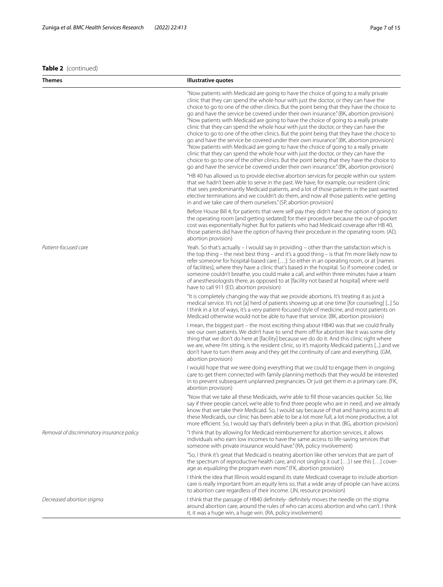**Themes Illustrative quotes**

#### **Table 2** (continued)

"Now patients with Medicaid are going to have the choice of going to a really private clinic that they can spend the whole hour with just the doctor, or they can have the choice to go to one of the other clinics. But the point being that they have the choice to go and have the service be covered under their own insurance." (BK, abortion provision) "Now patients with Medicaid are going to have the choice of going to a really private clinic that they can spend the whole hour with just the doctor, or they can have the choice to go to one of the other clinics. But the point being that they have the choice to go and have the service be covered under their own insurance." (BK, abortion provision) "Now patients with Medicaid are going to have the choice of going to a really private clinic that they can spend the whole hour with just the doctor, or they can have the choice to go to one of the other clinics. But the point being that they have the choice to go and have the service be covered under their own insurance." (BK, abortion provision)

"HB 40 has allowed us to provide elective abortion services for people within our system that we hadn't been able to serve in the past. We have, for example, our resident clinic that sees predominantly Medicaid patients, and a lot of those patients in the past wanted elective terminations and we couldn't do them, and now all those patients we're getting in and we take care of them ourselves." (SP, abortion provision)

Before House Bill 4, for patients that were self-pay they didn't have the option of going to the operating room [and getting sedated] for their procedure because the out-of-pocket cost was exponentially higher. But for patients who had Medicaid coverage after HB 40, those patients did have the option of having their procedure in the operating room. (AD, abortion provision)

*Patient-focused care* Yeah. So that's actually – I would say in providing – other than the satisfaction which is the top thing – the next best thing – and it's a good thing – is that I'm more likely now to refer someone for hospital-based care […]: So either in an operating room, or at [names of facilities], where they have a clinic that's based in the hospital. So if someone coded, or someone couldn't breathe, you could make a call, and within three minutes have a team of anesthesiologists there, as opposed to at [facility not based at hospital] where we'd have to call 911 (ED, abortion provision)

> "It is completely changing the way that we provide abortions. It's treating it as just a medical service. It's not [a] herd of patients showing up at one time [for counseling] [...] So I think in a lot of ways, it's a very patient-focused style of medicine, and most patients on Medicaid otherwise would not be able to have that service. (BK, abortion provision)

> I mean, the biggest part – the most exciting thing about HB40 was that we could fnally see our own patients. We didn't have to send them off for abortion like it was some dirty thing that we don't do here at [facility] because we do do it. And this clinic right where we are, where I'm sitting, is the resident clinic, so it's majority Medicaid patients [...] and we don't have to turn them away and they get the continuity of care and everything. (GM, abortion provision)

> I would hope that we were doing everything that we could to engage them in ongoing care to get them connected with family planning methods that they would be interested in to prevent subsequent unplanned pregnancies. Or just get them in a primary care. (FK, abortion provision)

> "Now that we take all these Medicaids, we're able to fll those vacancies quicker. So, like say if three people cancel, we're able to find three people who are in need, and we already know that we take their Medicaid. So, I would say because of that and having access to all these Medicaids, our clinic has been able to be a lot more full, a lot more productive, a lot more efficient. So, I would say that's definitely been a plus in that. (BG, abortion provision)

*Removal of discriminatory insurance policy* "I think that by allowing for Medicaid reimbursement for abortion services, it allows individuals who earn low incomes to have the same access to life-saving services that someone with private insurance would have." (RA, policy involvement)

> "So, I think it's great that Medicaid is treating abortion like other services that are part of the spectrum of reproductive health care, and not singling it out […] I see this […] coverage as equalizing the program even more." (FK, abortion provision)

I think the idea that Illinois would expand its state Medicaid coverage to include abortion care is really important from an equity lens so, that a wide array of people can have access to abortion care regardless of their income. (JN, resource provision)

*Decreased abortion stigma* I think that the passage of HB40 defnitely- defnitely moves the needle on the stigma around abortion care, around the rules of who can access abortion and who can't. I think it, it was a huge win, a huge win. (RA, policy involvement)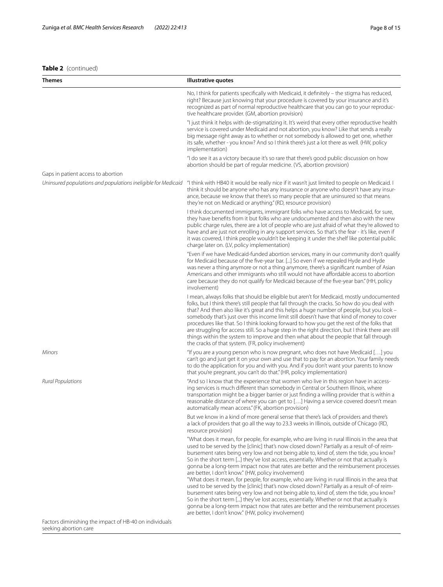#### **Table 2** (continued)

| <b>Themes</b>                                                 | <b>Illustrative quotes</b>                                                                                                                                                                                                                                                                                                                                                                                                                                                                                                                                                                                                                                                                                                                                                                                                                                                                                                                                                                                                                                                     |
|---------------------------------------------------------------|--------------------------------------------------------------------------------------------------------------------------------------------------------------------------------------------------------------------------------------------------------------------------------------------------------------------------------------------------------------------------------------------------------------------------------------------------------------------------------------------------------------------------------------------------------------------------------------------------------------------------------------------------------------------------------------------------------------------------------------------------------------------------------------------------------------------------------------------------------------------------------------------------------------------------------------------------------------------------------------------------------------------------------------------------------------------------------|
|                                                               | No, I think for patients specifically with Medicaid, it definitely - the stigma has reduced,<br>right? Because just knowing that your procedure is covered by your insurance and it's<br>recognized as part of normal reproductive healthcare that you can go to your reproduc-<br>tive healthcare provider. (GM, abortion provision)                                                                                                                                                                                                                                                                                                                                                                                                                                                                                                                                                                                                                                                                                                                                          |
|                                                               | "I just think it helps with de-stigmatizing it. It's weird that every other reproductive health<br>service is covered under Medicaid and not abortion, you know? Like that sends a really<br>big message right away as to whether or not somebody is allowed to get one, whether<br>its safe, whether - you know? And so I think there's just a lot there as well. (HW, policy<br>implementation)                                                                                                                                                                                                                                                                                                                                                                                                                                                                                                                                                                                                                                                                              |
|                                                               | "I do see it as a victory because it's so rare that there's good public discussion on how<br>abortion should be part of regular medicine. (VS, abortion provision)                                                                                                                                                                                                                                                                                                                                                                                                                                                                                                                                                                                                                                                                                                                                                                                                                                                                                                             |
| Gaps in patient access to abortion                            |                                                                                                                                                                                                                                                                                                                                                                                                                                                                                                                                                                                                                                                                                                                                                                                                                                                                                                                                                                                                                                                                                |
| Uninsured populations and populations ineligible for Medicaid | "I think with HB40 it would be really nice if it wasn't just limited to people on Medicaid. I<br>think it should be anyone who has any insurance or anyone who doesn't have any insur-<br>ance, because we know that there's so many people that are uninsured so that means<br>they're not on Medicaid or anything." (RD, resource provision)                                                                                                                                                                                                                                                                                                                                                                                                                                                                                                                                                                                                                                                                                                                                 |
|                                                               | I think documented immigrants, immigrant folks who have access to Medicaid, for sure,<br>they have benefits from it but folks who are undocumented and then also with the new<br>public charge rules, there are a lot of people who are just afraid of what they're allowed to<br>have and are just not enrolling in any support services. So that's the fear - it's like, even if<br>it was covered, I think people wouldn't be keeping it under the shelf like potential public<br>charge later on. (LV, policy implementation)                                                                                                                                                                                                                                                                                                                                                                                                                                                                                                                                              |
|                                                               | "Even if we have Medicaid-funded abortion services, many in our community don't qualify<br>for Medicaid because of the five-year bar. [] So even if we repealed Hyde and Hyde<br>was never a thing anymore or not a thing anymore, there's a significant number of Asian<br>Americans and other immigrants who still would not have affordable access to abortion<br>care because they do not qualify for Medicaid because of the five-year ban." (HH, policy<br>involvement)                                                                                                                                                                                                                                                                                                                                                                                                                                                                                                                                                                                                  |
|                                                               | I mean, always folks that should be eligible but aren't for Medicaid, mostly undocumented<br>folks, but I think there's still people that fall through the cracks. So how do you deal with<br>that? And then also like it's great and this helps a huge number of people, but you look -<br>somebody that's just over this income limit still doesn't have that kind of money to cover<br>procedures like that. So I think looking forward to how you get the rest of the folks that<br>are struggling for access still. So a huge step in the right direction, but I think there are still<br>things within the system to improve and then what about the people that fall through<br>the cracks of that system. (FR, policy involvement)                                                                                                                                                                                                                                                                                                                                     |
| Minors                                                        | "If you are a young person who is now pregnant, who does not have Medicaid [] you<br>can't go and just get it on your own and use that to pay for an abortion. Your family needs<br>to do the application for you and with you. And if you don't want your parents to know<br>that you're pregnant, you can't do that." (HR, policy implementation)                                                                                                                                                                                                                                                                                                                                                                                                                                                                                                                                                                                                                                                                                                                            |
| <b>Rural Populations</b>                                      | "And so I know that the experience that women who live in this region have in access-<br>ing services is much different than somebody in Central or Southern Illinois, where<br>transportation might be a bigger barrier or just finding a willing provider that is within a<br>reasonable distance of where you can get to [] Having a service covered doesn't mean<br>automatically mean access." (FK, abortion provision)                                                                                                                                                                                                                                                                                                                                                                                                                                                                                                                                                                                                                                                   |
|                                                               | But we know in a kind of more general sense that there's lack of providers and there's<br>a lack of providers that go all the way to 23.3 weeks in Illinois, outside of Chicago (RD,<br>resource provision)                                                                                                                                                                                                                                                                                                                                                                                                                                                                                                                                                                                                                                                                                                                                                                                                                                                                    |
|                                                               | "What does it mean, for people, for example, who are living in rural Illinois in the area that<br>used to be served by the [clinic] that's now closed down? Partially as a result of-of reim-<br>bursement rates being very low and not being able to, kind of, stem the tide, you know?<br>So in the short term [] they've lost access, essentially. Whether or not that actually is<br>gonna be a long-term impact now that rates are better and the reimbursement processes<br>are better, I don't know." (HW, policy involvement)<br>"What does it mean, for people, for example, who are living in rural Illinois in the area that<br>used to be served by the [clinic] that's now closed down? Partially as a result of-of reim-<br>bursement rates being very low and not being able to, kind of, stem the tide, you know?<br>So in the short term [] they've lost access, essentially. Whether or not that actually is<br>gonna be a long-term impact now that rates are better and the reimbursement processes<br>are better, I don't know." (HW, policy involvement) |

Factors diminishing the impact of HB-40 on individuals seeking abortion care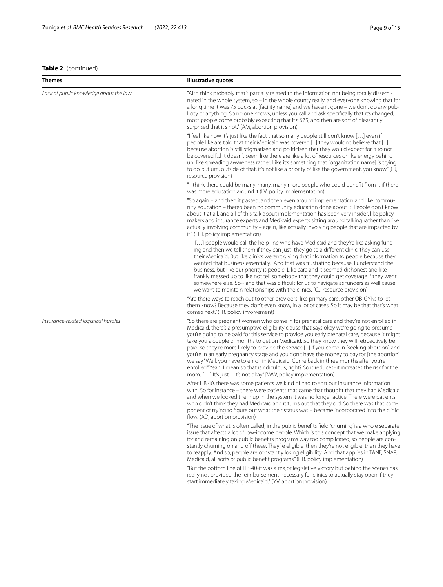#### **Table 2** (continued)

| <b>Themes</b>                          | <b>Illustrative quotes</b>                                                                                                                                                                                                                                                                                                                                                                                                                                                                                                                                                                                                                                                                                                                                                                                                                 |
|----------------------------------------|--------------------------------------------------------------------------------------------------------------------------------------------------------------------------------------------------------------------------------------------------------------------------------------------------------------------------------------------------------------------------------------------------------------------------------------------------------------------------------------------------------------------------------------------------------------------------------------------------------------------------------------------------------------------------------------------------------------------------------------------------------------------------------------------------------------------------------------------|
| Lack of public knowledge about the law | "Also think probably that's partially related to the information not being totally dissemi-<br>nated in the whole system, so – in the whole county really, and everyone knowing that for<br>a long time it was 75 bucks at [facility name] and we haven't gone – we don't do any pub-<br>licity or anything. So no one knows, unless you call and ask specifically that it's changed,<br>most people come probably expecting that it's \$75, and then are sort of pleasantly<br>surprised that it's not." (AM, abortion provision)                                                                                                                                                                                                                                                                                                         |
|                                        | "I feel like now it's just like the fact that so many people still don't know [] even if<br>people like are told that their Medicaid was covered [] they wouldn't believe that []<br>because abortion is still stigmatized and politicized that they would expect for it to not<br>be covered [] It doesn't seem like there are like a lot of resources or like energy behind<br>uh, like spreading awareness rather. Like it's something that [organization name] is trying<br>to do but um, outside of that, it's not like a priority of like the government, you know." (CJ,<br>resource provision)                                                                                                                                                                                                                                     |
|                                        | "I think there could be many, many, many more people who could benefit from it if there<br>was more education around it (LV, policy implementation)                                                                                                                                                                                                                                                                                                                                                                                                                                                                                                                                                                                                                                                                                        |
|                                        | "So again – and then it passed, and then even around implementation and like commu-<br>nity education – there's been no community education done about it. People don't know<br>about it at all, and all of this talk about implementation has been very insider, like policy-<br>makers and insurance experts and Medicaid experts sitting around talking rather than like<br>actually involving community - again, like actually involving people that are impacted by<br>it." (HH, policy implementation)                                                                                                                                                                                                                                                                                                                               |
|                                        | [] people would call the help line who have Medicaid and they're like asking fund-<br>ing and then we tell them if they can just-they go to a different clinic, they can use<br>their Medicaid. But like clinics weren't giving that information to people because they<br>wanted that business essentially. And that was frustrating because, I understand the<br>business, but like our priority is people. Like care and it seemed dishonest and like<br>frankly messed up to like not tell somebody that they could get coverage if they went<br>somewhere else. So-- and that was difficult for us to navigate as funders as well cause<br>we want to maintain relationships with the clinics. (CJ, resource provision)                                                                                                               |
|                                        | "Are there ways to reach out to other providers, like primary care, other OB-GYNs to let<br>them know? Because they don't even know, in a lot of cases. So it may be that that's what<br>comes next." (FR, policy involvement)                                                                                                                                                                                                                                                                                                                                                                                                                                                                                                                                                                                                             |
| Insurance-related logistical hurdles   | "So there are pregnant women who come in for prenatal care and they're not enrolled in<br>Medicaid, there's a presumptive eligibility clause that says okay we're going to presume<br>you're going to be paid for this service to provide you early prenatal care, because it might<br>take you a couple of months to get on Medicaid. So they know they will retroactively be<br>paid, so they're more likely to provide the service [] if you come in [seeking abortion] and<br>you're in an early pregnancy stage and you don't have the money to pay for [the abortion]<br>we say "Well, you have to enroll in Medicaid. Come back in three months after you're<br>enrolled."Yeah. I mean so that is ridiculous, right? So it reduces-it increases the risk for the<br>mom. [] It's just - it's not okay." [WW, policy implementation) |
|                                        | After HB 40, there was some patients we kind of had to sort out insurance information<br>with. So for instance – there were patients that came that thought that they had Medicaid<br>and when we looked them up in the system it was no longer active. There were patients<br>who didn't think they had Medicaid and it turns out that they did. So there was that com-<br>ponent of trying to figure out what their status was - became incorporated into the clinic<br>flow. (AD, abortion provision)                                                                                                                                                                                                                                                                                                                                   |
|                                        | "The issue of what is often called, in the public benefits field, 'churning' is a whole separate<br>issue that affects a lot of low-income people. Which is this concept that we make applying<br>for and remaining on public benefits programs way too complicated, so people are con-<br>stantly churning on and off these. They're eligible, then they're not eligible, then they have<br>to reapply. And so, people are constantly losing eligibility. And that applies in TANF, SNAP,<br>Medicaid, all sorts of public benefit programs." (HR, policy implementation)                                                                                                                                                                                                                                                                 |
|                                        | "But the bottom line of HB-40-it was a major legislative victory but behind the scenes has<br>really not provided the reimbursement necessary for clinics to actually stay open if they<br>start immediately taking Medicaid." (YV, abortion provision)                                                                                                                                                                                                                                                                                                                                                                                                                                                                                                                                                                                    |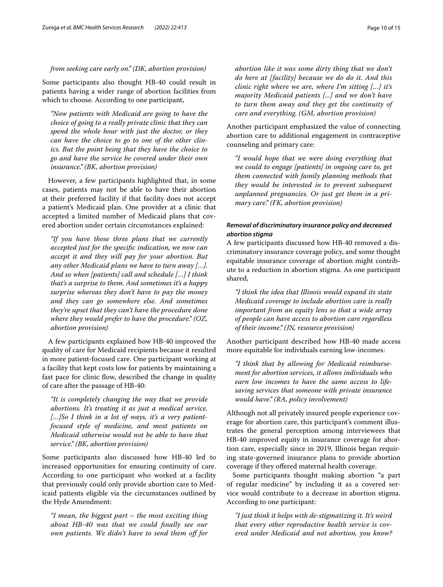#### *from seeking care early on." (DK, abortion provision)*

Some participants also thought HB-40 could result in patients having a wider range of abortion facilities from which to choose. According to one participant,

*"Now patients with Medicaid are going to have the choice of going to a really private clinic that they can spend the whole hour with just the doctor, or they can have the choice to go to one of the other clinics. But the point being that they have the choice to go and have the service be covered under their own insurance." (BK, abortion provision)*

However, a few participants highlighted that, in some cases, patients may not be able to have their abortion at their preferred facility if that facility does not accept a patient's Medicaid plan. One provider at a clinic that accepted a limited number of Medicaid plans that covered abortion under certain circumstances explained:

*"If you have those three plans that we currently accepted just for the specifc indication, we now can accept it and they will pay for your abortion. But any other Medicaid plans we have to turn away […]. And so when [patients] call and schedule […] I think that's a surprise to them. And sometimes it's a happy surprise whereas they don't have to pay the money and they can go somewhere else. And sometimes they're upset that they can't have the procedure done where they would prefer to have the procedure." (OZ, abortion provision)*

A few participants explained how HB-40 improved the quality of care for Medicaid recipients because it resulted in more patient-focused care. One participant working at a facility that kept costs low for patients by maintaining a fast pace for clinic flow, described the change in quality of care after the passage of HB-40:

*"It is completely changing the way that we provide abortions. It's treating it as just a medical service. […]So I think in a lot of ways, it's a very patientfocused style of medicine, and most patients on Medicaid otherwise would not be able to have that service." (BK, abortion provision)*

Some participants also discussed how HB-40 led to increased opportunities for ensuring continuity of care. According to one participant who worked at a facility that previously could only provide abortion care to Medicaid patients eligible via the circumstances outlined by the Hyde Amendment:

*"I mean, the biggest part – the most exciting thing about HB-40 was that we could fnally see our own patients. We didn't have to send them of for* 

*abortion like it was some dirty thing that we don't do here at [facility] because we do do it. And this clinic right where we are, where I'm sitting […] it's majority Medicaid patients [...] and we don't have to turn them away and they get the continuity of care and everything. (GM, abortion provision)*

Another participant emphasized the value of connecting abortion care to additional engagement in contraceptive counseling and primary care:

*"I would hope that we were doing everything that we could to engage [patients] in ongoing care to, get them connected with family planning methods that they would be interested in to prevent subsequent unplanned pregnancies. Or just get them in a primary care." (FK, abortion provision)*

#### *Removal of discriminatory insurance policy and decreased abortion stigma*

A few participants discussed how HB-40 removed a discriminatory insurance coverage policy, and some thought equitable insurance coverage of abortion might contribute to a reduction in abortion stigma. As one participant shared,

*"I think the idea that Illinois would expand its state Medicaid coverage to include abortion care is really important from an equity lens so that a wide array of people can have access to abortion care regardless of their income." (JN, resource provision)*

Another participant described how HB-40 made access more equitable for individuals earning low-incomes:

*"I think that by allowing for Medicaid reimbursement for abortion services, it allows individuals who earn low incomes to have the same access to lifesaving services that someone with private insurance would have." (RA, policy involvement)*

Although not all privately insured people experience coverage for abortion care, this participant's comment illustrates the general perception among interviewees that HB-40 improved equity in insurance coverage for abortion care, especially since in 2019, Illinois began requiring state-governed insurance plans to provide abortion coverage if they offered maternal health coverage.

Some participants thought making abortion "a part of regular medicine" by including it as a covered service would contribute to a decrease in abortion stigma. According to one participant:

*"I just think it helps with de-stigmatizing it. It's weird that every other reproductive health service is covered under Medicaid and not abortion, you know?*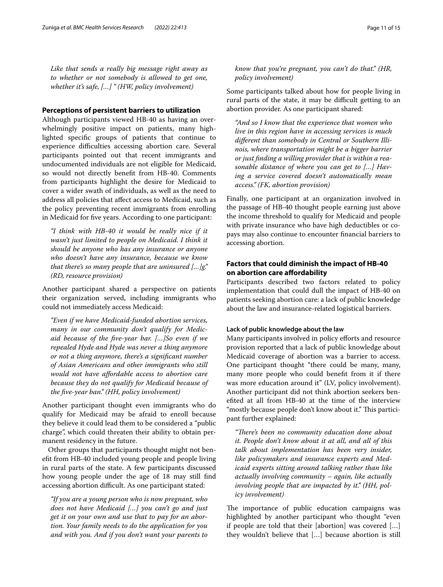*Like that sends a really big message right away as to whether or not somebody is allowed to get one, whether it's safe, […] " (HW, policy involvement)*

#### **Perceptions of persistent barriers to utilization**

Although participants viewed HB-40 as having an overwhelmingly positive impact on patients, many highlighted specifc groups of patients that continue to experience difficulties accessing abortion care. Several participants pointed out that recent immigrants and undocumented individuals are not eligible for Medicaid, so would not directly beneft from HB-40. Comments from participants highlight the desire for Medicaid to cover a wider swath of individuals, as well as the need to address all policies that afect access to Medicaid, such as the policy preventing recent immigrants from enrolling in Medicaid for fve years. According to one participant:

*"I think with HB-40 it would be really nice if it wasn't just limited to people on Medicaid. I think it should be anyone who has any insurance or anyone who doesn't have any insurance, because we know that there's so many people that are uninsured […]g." (RD, resource provision)*

Another participant shared a perspective on patients their organization served, including immigrants who could not immediately access Medicaid:

*"Even if we have Medicaid-funded abortion services, many in our community don't qualify for Medicaid because of the fve-year bar. […]So even if we repealed Hyde and Hyde was never a thing anymore or not a thing anymore, there's a signifcant number of Asian Americans and other immigrants who still would not have afordable access to abortion care because they do not qualify for Medicaid because of the fve-year ban." (HH, policy involvement)*

Another participant thought even immigrants who do qualify for Medicaid may be afraid to enroll because they believe it could lead them to be considered a "public charge", which could threaten their ability to obtain permanent residency in the future.

Other groups that participants thought might not beneft from HB-40 included young people and people living in rural parts of the state. A few participants discussed how young people under the age of 18 may still fnd accessing abortion difficult. As one participant stated:

*"If you are a young person who is now pregnant, who does not have Medicaid […] you can't go and just get it on your own and use that to pay for an abortion. Your family needs to do the application for you and with you. And if you don't want your parents to* 

*know that you're pregnant, you can't do that." (HR, policy involvement)*

Some participants talked about how for people living in rural parts of the state, it may be difficult getting to an abortion provider. As one participant shared:

*"And so I know that the experience that women who live in this region have in accessing services is much diferent than somebody in Central or Southern Illinois, where transportation might be a bigger barrier or just fnding a willing provider that is within a reasonable distance of where you can get to […] Having a service covered doesn't automatically mean access." (FK, abortion provision)*

Finally, one participant at an organization involved in the passage of HB-40 thought people earning just above the income threshold to qualify for Medicaid and people with private insurance who have high deductibles or copays may also continue to encounter fnancial barriers to accessing abortion.

#### **Factors that could diminish the impact of HB-40 on abortion care afordability**

Participants described two factors related to policy implementation that could dull the impact of HB-40 on patients seeking abortion care: a lack of public knowledge about the law and insurance-related logistical barriers.

#### **Lack of public knowledge about the law**

Many participants involved in policy efforts and resource provision reported that a lack of public knowledge about Medicaid coverage of abortion was a barrier to access. One participant thought "there could be many, many, many more people who could beneft from it if there was more education around it" (LV, policy involvement). Another participant did not think abortion seekers benefted at all from HB-40 at the time of the interview "mostly because people don't know about it." This participant further explained:

*"Tere's been no community education done about it. People don't know about it at all, and all of this talk about implementation has been very insider, like policymakers and insurance experts and Medicaid experts sitting around talking rather than like actually involving community – again, like actually involving people that are impacted by it." (HH, policy involvement)*

The importance of public education campaigns was highlighted by another participant who thought "even if people are told that their [abortion] was covered […] they wouldn't believe that […] because abortion is still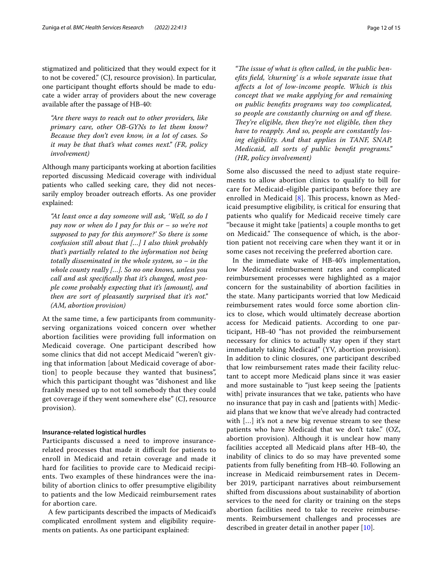stigmatized and politicized that they would expect for it to not be covered." (CJ, resource provision). In particular, one participant thought efforts should be made to educate a wider array of providers about the new coverage available after the passage of HB-40:

*"Are there ways to reach out to other providers, like primary care, other OB-GYNs to let them know? Because they don't even know, in a lot of cases. So it may be that that's what comes next." (FR, policy involvement)*

Although many participants working at abortion facilities reported discussing Medicaid coverage with individual patients who called seeking care, they did not necessarily employ broader outreach efforts. As one provider explained:

*"At least once a day someone will ask, 'Well, so do I pay now or when do I pay for this or – so we're not supposed to pay for this anymore?' So there is some confusion still about that […] I also think probably that's partially related to the information not being totally disseminated in the whole system, so – in the whole county really […]. So no one knows, unless you call and ask specifcally that it's changed, most people come probably expecting that it's [amount], and then are sort of pleasantly surprised that it's not." (AM, abortion provision)*

At the same time, a few participants from communityserving organizations voiced concern over whether abortion facilities were providing full information on Medicaid coverage. One participant described how some clinics that did not accept Medicaid "weren't giving that information [about Medicaid coverage of abortion] to people because they wanted that business", which this participant thought was "dishonest and like frankly messed up to not tell somebody that they could get coverage if they went somewhere else" (CJ, resource provision).

#### **Insurance-related logistical hurdles**

Participants discussed a need to improve insurancerelated processes that made it difficult for patients to enroll in Medicaid and retain coverage and made it hard for facilities to provide care to Medicaid recipients. Two examples of these hindrances were the inability of abortion clinics to offer presumptive eligibility to patients and the low Medicaid reimbursement rates for abortion care.

A few participants described the impacts of Medicaid's complicated enrollment system and eligibility requirements on patients. As one participant explained:

"The issue of what is often called, in the public ben*efts feld, 'churning' is a whole separate issue that afects a lot of low-income people. Which is this concept that we make applying for and remaining on public benefts programs way too complicated, so people are constantly churning on and of these. They're eligible, then they're not eligible, then they have to reapply. And so, people are constantly losing eligibility. And that applies in TANF, SNAP, Medicaid, all sorts of public beneft programs." (HR, policy involvement)*

Some also discussed the need to adjust state requirements to allow abortion clinics to qualify to bill for care for Medicaid-eligible participants before they are enrolled in Medicaid  $[8]$  $[8]$  $[8]$ . This process, known as Medicaid presumptive eligibility, is critical for ensuring that patients who qualify for Medicaid receive timely care "because it might take [patients] a couple months to get on Medicaid." The consequence of which, is the abortion patient not receiving care when they want it or in some cases not receiving the preferred abortion care.

In the immediate wake of HB-40's implementation, low Medicaid reimbursement rates and complicated reimbursement processes were highlighted as a major concern for the sustainability of abortion facilities in the state. Many participants worried that low Medicaid reimbursement rates would force some abortion clinics to close, which would ultimately decrease abortion access for Medicaid patients. According to one participant, HB-40 "has not provided the reimbursement necessary for clinics to actually stay open if they start immediately taking Medicaid" (YV, abortion provision). In addition to clinic closures, one participant described that low reimbursement rates made their facility reluctant to accept more Medicaid plans since it was easier and more sustainable to "just keep seeing the [patients with] private insurances that we take, patients who have no insurance that pay in cash and [patients with] Medicaid plans that we know that we've already had contracted with […] it's not a new big revenue stream to see these patients who have Medicaid that we don't take." (OZ, abortion provision). Although it is unclear how many facilities accepted all Medicaid plans after HB-40, the inability of clinics to do so may have prevented some patients from fully benefting from HB-40. Following an increase in Medicaid reimbursement rates in December 2019, participant narratives about reimbursement shifted from discussions about sustainability of abortion services to the need for clarity or training on the steps abortion facilities need to take to receive reimbursements. Reimbursement challenges and processes are described in greater detail in another paper [\[10](#page-14-9)].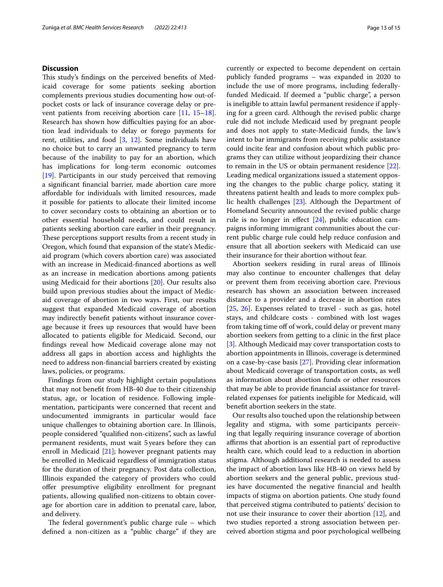#### **Discussion**

This study's findings on the perceived benefits of Medicaid coverage for some patients seeking abortion complements previous studies documenting how out-ofpocket costs or lack of insurance coverage delay or prevent patients from receiving abortion care [\[11](#page-14-10), [15](#page-14-14)[–18](#page-14-15)]. Research has shown how difficulties paying for an abortion lead individuals to delay or forego payments for rent, utilities, and food [[3,](#page-14-2) [12](#page-14-11)]. Some individuals have no choice but to carry an unwanted pregnancy to term because of the inability to pay for an abortion, which has implications for long-term economic outcomes [[19\]](#page-14-16). Participants in our study perceived that removing a signifcant fnancial barrier, made abortion care more afordable for individuals with limited resources, made it possible for patients to allocate their limited income to cover secondary costs to obtaining an abortion or to other essential household needs, and could result in patients seeking abortion care earlier in their pregnancy. These perceptions support results from a recent study in Oregon, which found that expansion of the state's Medicaid program (which covers abortion care) was associated with an increase in Medicaid-fnanced abortions as well as an increase in medication abortions among patients using Medicaid for their abortions [[20\]](#page-14-17). Our results also build upon previous studies about the impact of Medicaid coverage of abortion in two ways. First, our results suggest that expanded Medicaid coverage of abortion may indirectly beneft patients without insurance coverage because it frees up resources that would have been allocated to patients eligible for Medicaid. Second, our fndings reveal how Medicaid coverage alone may not address all gaps in abortion access and highlights the need to address non-fnancial barriers created by existing laws, policies, or programs.

Findings from our study highlight certain populations that may not beneft from HB-40 due to their citizenship status, age, or location of residence. Following implementation, participants were concerned that recent and undocumented immigrants in particular would face unique challenges to obtaining abortion care. In Illinois, people considered "qualifed non-citizens", such as lawful permanent residents, must wait 5years before they can enroll in Medicaid [\[21](#page-14-18)]; however pregnant patients may be enrolled in Medicaid regardless of immigration status for the duration of their pregnancy. Post data collection, Illinois expanded the category of providers who could ofer presumptive eligibility enrollment for pregnant patients, allowing qualifed non-citizens to obtain coverage for abortion care in addition to prenatal care, labor, and delivery.

The federal government's public charge rule  $-$  which defned a non-citizen as a "public charge" if they are currently or expected to become dependent on certain publicly funded programs – was expanded in 2020 to include the use of more programs, including federallyfunded Medicaid. If deemed a "public charge", a person is ineligible to attain lawful permanent residence if applying for a green card. Although the revised public charge rule did not include Medicaid used by pregnant people and does not apply to state-Medicaid funds, the law's intent to bar immigrants from receiving public assistance could incite fear and confusion about which public programs they can utilize without jeopardizing their chance to remain in the US or obtain permanent residence [\[22](#page-14-19)]. Leading medical organizations issued a statement opposing the changes to the public charge policy, stating it threatens patient health and leads to more complex public health challenges [\[23](#page-14-20)]. Although the Department of Homeland Security announced the revised public charge rule is no longer in efect [[24](#page-14-21)], public education campaigns informing immigrant communities about the current public charge rule could help reduce confusion and ensure that all abortion seekers with Medicaid can use their insurance for their abortion without fear.

Abortion seekers residing in rural areas of Illinois may also continue to encounter challenges that delay or prevent them from receiving abortion care. Previous research has shown an association between increased distance to a provider and a decrease in abortion rates [[25,](#page-14-22) [26\]](#page-14-23). Expenses related to travel - such as gas, hotel stays, and childcare costs - combined with lost wages from taking time off of work, could delay or prevent many abortion seekers from getting to a clinic in the frst place [[3\]](#page-14-2). Although Medicaid may cover transportation costs to abortion appointments in Illinois, coverage is determined on a case-by-case basis [\[27](#page-14-24)]. Providing clear information about Medicaid coverage of transportation costs, as well as information about abortion funds or other resources that may be able to provide fnancial assistance for travelrelated expenses for patients ineligible for Medicaid, will beneft abortion seekers in the state.

Our results also touched upon the relationship between legality and stigma, with some participants perceiving that legally requiring insurance coverage of abortion affirms that abortion is an essential part of reproductive health care, which could lead to a reduction in abortion stigma. Although additional research is needed to assess the impact of abortion laws like HB-40 on views held by abortion seekers and the general public, previous studies have documented the negative fnancial and health impacts of stigma on abortion patients. One study found that perceived stigma contributed to patients' decision to not use their insurance to cover their abortion [[12\]](#page-14-11), and two studies reported a strong association between perceived abortion stigma and poor psychological wellbeing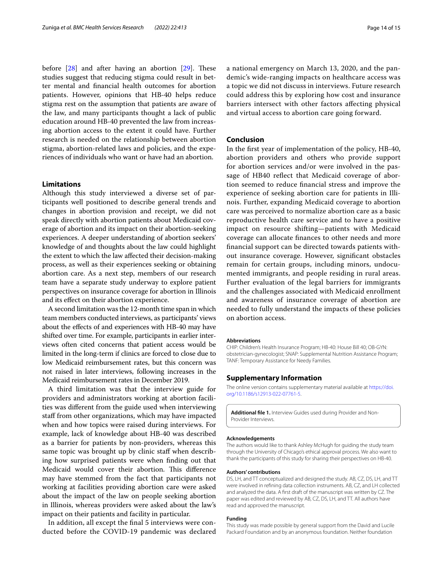before  $[28]$  $[28]$  and after having an abortion  $[29]$ . These studies suggest that reducing stigma could result in better mental and fnancial health outcomes for abortion patients. However, opinions that HB-40 helps reduce stigma rest on the assumption that patients are aware of the law, and many participants thought a lack of public education around HB-40 prevented the law from increasing abortion access to the extent it could have. Further research is needed on the relationship between abortion stigma, abortion-related laws and policies, and the experiences of individuals who want or have had an abortion.

#### **Limitations**

Although this study interviewed a diverse set of participants well positioned to describe general trends and changes in abortion provision and receipt, we did not speak directly with abortion patients about Medicaid coverage of abortion and its impact on their abortion-seeking experiences. A deeper understanding of abortion seekers' knowledge of and thoughts about the law could highlight the extent to which the law afected their decision-making process, as well as their experiences seeking or obtaining abortion care. As a next step, members of our research team have a separate study underway to explore patient perspectives on insurance coverage for abortion in Illinois and its efect on their abortion experience.

A second limitation was the 12-month time span in which team members conducted interviews, as participants' views about the efects of and experiences with HB-40 may have shifted over time. For example, participants in earlier interviews often cited concerns that patient access would be limited in the long-term if clinics are forced to close due to low Medicaid reimbursement rates, but this concern was not raised in later interviews, following increases in the Medicaid reimbursement rates in December 2019.

A third limitation was that the interview guide for providers and administrators working at abortion facilities was diferent from the guide used when interviewing staff from other organizations, which may have impacted when and how topics were raised during interviews. For example, lack of knowledge about HB-40 was described as a barrier for patients by non-providers, whereas this same topic was brought up by clinic staff when describing how surprised patients were when fnding out that Medicaid would cover their abortion. This difference may have stemmed from the fact that participants not working at facilities providing abortion care were asked about the impact of the law on people seeking abortion in Illinois, whereas providers were asked about the law's impact on their patients and facility in particular.

In addition, all except the fnal 5 interviews were conducted before the COVID-19 pandemic was declared a national emergency on March 13, 2020, and the pandemic's wide-ranging impacts on healthcare access was a topic we did not discuss in interviews. Future research could address this by exploring how cost and insurance barriers intersect with other factors afecting physical and virtual access to abortion care going forward.

#### **Conclusion**

In the frst year of implementation of the policy, HB-40, abortion providers and others who provide support for abortion services and/or were involved in the passage of HB40 refect that Medicaid coverage of abortion seemed to reduce fnancial stress and improve the experience of seeking abortion care for patients in Illinois. Further, expanding Medicaid coverage to abortion care was perceived to normalize abortion care as a basic reproductive health care service and to have a positive impact on resource shifting—patients with Medicaid coverage can allocate fnances to other needs and more fnancial support can be directed towards patients without insurance coverage. However, signifcant obstacles remain for certain groups, including minors, undocumented immigrants, and people residing in rural areas. Further evaluation of the legal barriers for immigrants and the challenges associated with Medicaid enrollment and awareness of insurance coverage of abortion are needed to fully understand the impacts of these policies on abortion access.

#### **Abbreviations**

CHIP: Children's Health Insurance Program; HB-40: House Bill 40; OB-GYN: obstetrician-gynecologist; SNAP: Supplemental Nutrition Assistance Program; TANF: Temporary Assistance for Needy Families.

#### **Supplementary Information**

The online version contains supplementary material available at [https://doi.](https://doi.org/10.1186/s12913-022-07761-5) [org/10.1186/s12913-022-07761-5](https://doi.org/10.1186/s12913-022-07761-5).

<span id="page-13-0"></span>**Additional fle 1.** Interview Guides used during Provider and Non-Provider Interviews.

#### **Acknowledgements**

The authors would like to thank Ashley McHugh for guiding the study team through the University of Chicago's ethical approval process. We also want to thank the participants of this study for sharing their perspectives on HB-40.

#### **Authors' contributions**

DS, LH, and TT conceptualized and designed the study. AB, CZ, DS, LH, and TT were involved in refning data collection instruments. AB, CZ, and LH collected and analyzed the data. A frst draft of the manuscript was written by CZ. The paper was edited and reviewed by AB, CZ, DS, LH, and TT. All authors have read and approved the manuscript.

#### **Funding**

This study was made possible by general support from the David and Lucile Packard Foundation and by an anonymous foundation. Neither foundation